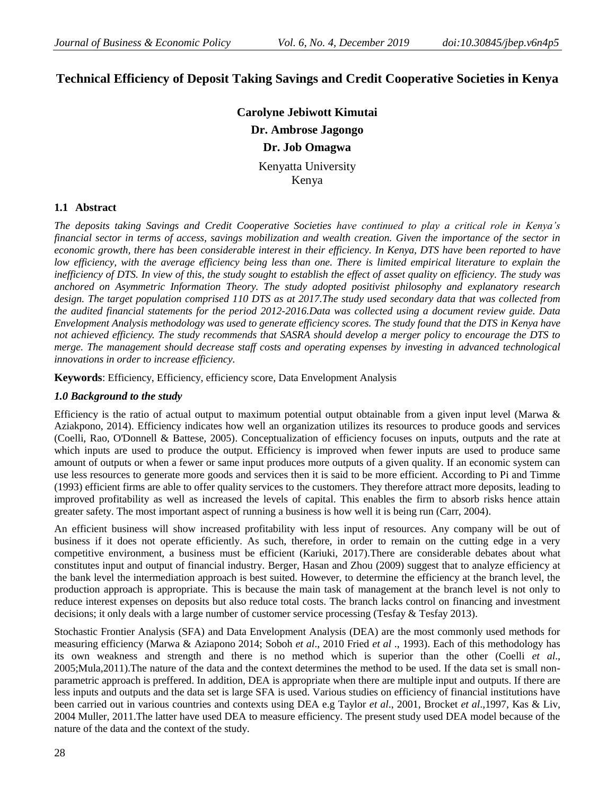# **Technical Efficiency of Deposit Taking Savings and Credit Cooperative Societies in Kenya**

**Carolyne Jebiwott Kimutai Dr. Ambrose Jagongo Dr. Job Omagwa** Kenyatta University Kenya

### **1.1 Abstract**

*The deposits taking Savings and Credit Cooperative Societies have continued to play a critical role in Kenya's financial sector in terms of access, savings mobilization and wealth creation. Given the importance of the sector in economic growth, there has been considerable interest in their efficiency. In Kenya, DTS have been reported to have low efficiency, with the average efficiency being less than one. There is limited empirical literature to explain the inefficiency of DTS. In view of this, the study sought to establish the effect of asset quality on efficiency. The study was anchored on Asymmetric Information Theory. The study adopted positivist philosophy and explanatory research design. The target population comprised 110 DTS as at 2017.The study used secondary data that was collected from the audited financial statements for the period 2012-2016.Data was collected using a document review guide. Data Envelopment Analysis methodology was used to generate efficiency scores. The study found that the DTS in Kenya have not achieved efficiency. The study recommends that SASRA should develop a merger policy to encourage the DTS to merge. The management should decrease staff costs and operating expenses by investing in advanced technological innovations in order to increase efficiency.*

**Keywords**: Efficiency, Efficiency, efficiency score, Data Envelopment Analysis

### *1.0 Background to the study*

Efficiency is the ratio of actual output to maximum potential output obtainable from a given input level (Marwa  $\&$ Aziakpono, 2014). Efficiency indicates how well an organization utilizes its resources to produce goods and services (Coelli, Rao, O'Donnell & Battese, 2005). Conceptualization of efficiency focuses on inputs, outputs and the rate at which inputs are used to produce the output. Efficiency is improved when fewer inputs are used to produce same amount of outputs or when a fewer or same input produces more outputs of a given quality. If an economic system can use less resources to generate more goods and services then it is said to be more efficient. According to Pi and Timme (1993) efficient firms are able to offer quality services to the customers. They therefore attract more deposits, leading to improved profitability as well as increased the levels of capital. This enables the firm to absorb risks hence attain greater safety. The most important aspect of running a business is how well it is being run (Carr, 2004).

An efficient business will show increased profitability with less input of resources. Any company will be out of business if it does not operate efficiently. As such, therefore, in order to remain on the cutting edge in a very competitive environment, a business must be efficient (Kariuki, 2017).There are considerable debates about what constitutes input and output of financial industry. Berger, Hasan and Zhou (2009) suggest that to analyze efficiency at the bank level the intermediation approach is best suited. However, to determine the efficiency at the branch level, the production approach is appropriate. This is because the main task of management at the branch level is not only to reduce interest expenses on deposits but also reduce total costs. The branch lacks control on financing and investment decisions; it only deals with a large number of customer service processing (Tesfay & Tesfay 2013).

Stochastic Frontier Analysis (SFA) and Data Envelopment Analysis (DEA) are the most commonly used methods for measuring efficiency (Marwa & Aziapono 2014; Soboh *et al*., 2010 Fried *et al* ., 1993). Each of this methodology has its own weakness and strength and there is no method which is superior than the other (Coelli *et al*., 2005;Mula,2011).The nature of the data and the context determines the method to be used. If the data set is small nonparametric approach is preffered. In addition, DEA is appropriate when there are multiple input and outputs. If there are less inputs and outputs and the data set is large SFA is used. Various studies on efficiency of financial institutions have been carried out in various countries and contexts using DEA e.g Taylor *et al*., 2001, Brocket *et al*.,1997, Kas & Liv, 2004 Muller, 2011.The latter have used DEA to measure efficiency. The present study used DEA model because of the nature of the data and the context of the study.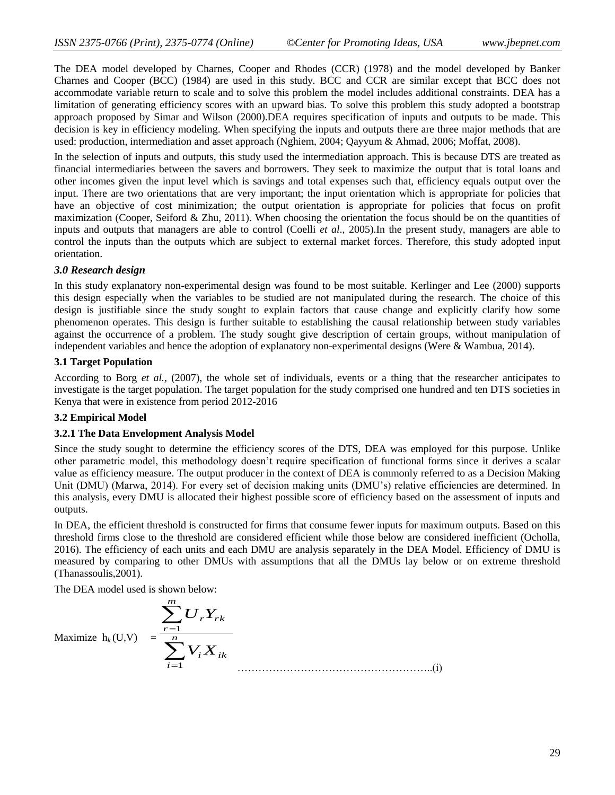The DEA model developed by Charnes, Cooper and Rhodes (CCR) (1978) and the model developed by Banker Charnes and Cooper (BCC) (1984) are used in this study. BCC and CCR are similar except that BCC does not accommodate variable return to scale and to solve this problem the model includes additional constraints. DEA has a limitation of generating efficiency scores with an upward bias. To solve this problem this study adopted a bootstrap approach proposed by Simar and Wilson (2000).DEA requires specification of inputs and outputs to be made. This decision is key in efficiency modeling. When specifying the inputs and outputs there are three major methods that are used: production, intermediation and asset approach (Nghiem, 2004; Qayyum & Ahmad, 2006; Moffat, 2008).

In the selection of inputs and outputs, this study used the intermediation approach. This is because DTS are treated as financial intermediaries between the savers and borrowers. They seek to maximize the output that is total loans and other incomes given the input level which is savings and total expenses such that, efficiency equals output over the input. There are two orientations that are very important; the input orientation which is appropriate for policies that have an objective of cost minimization; the output orientation is appropriate for policies that focus on profit maximization (Cooper, Seiford & Zhu, 2011). When choosing the orientation the focus should be on the quantities of inputs and outputs that managers are able to control (Coelli *et al*., 2005).In the present study, managers are able to control the inputs than the outputs which are subject to external market forces. Therefore, this study adopted input orientation.

### *3.0 Research design*

In this study explanatory non-experimental design was found to be most suitable. Kerlinger and Lee (2000) supports this design especially when the variables to be studied are not manipulated during the research. The choice of this design is justifiable since the study sought to explain factors that cause change and explicitly clarify how some phenomenon operates. This design is further suitable to establishing the causal relationship between study variables against the occurrence of a problem. The study sought give description of certain groups, without manipulation of independent variables and hence the adoption of explanatory non-experimental designs (Were & Wambua, 2014).

### **3.1 Target Population**

According to Borg *et al.,* (2007), the whole set of individuals, events or a thing that the researcher anticipates to investigate is the target population. The target population for the study comprised one hundred and ten DTS societies in Kenya that were in existence from period 2012-2016

## **3.2 Empirical Model**

### **3.2.1 The Data Envelopment Analysis Model**

Since the study sought to determine the efficiency scores of the DTS, DEA was employed for this purpose. Unlike other parametric model, this methodology doesn't require specification of functional forms since it derives a scalar value as efficiency measure. The output producer in the context of DEA is commonly referred to as a Decision Making Unit (DMU) (Marwa, 2014). For every set of decision making units (DMU's) relative efficiencies are determined. In this analysis, every DMU is allocated their highest possible score of efficiency based on the assessment of inputs and outputs.

In DEA, the efficient threshold is constructed for firms that consume fewer inputs for maximum outputs. Based on this threshold firms close to the threshold are considered efficient while those below are considered inefficient (Ocholla, 2016). The efficiency of each units and each DMU are analysis separately in the DEA Model. Efficiency of DMU is measured by comparing to other DMUs with assumptions that all the DMUs lay below or on extreme threshold (Thanassoulis,2001).

The DEA model used is shown below:

$$
\text{Maximize } h_k(\mathbf{U}, \mathbf{V}) = \frac{\sum_{r=1}^{m} U_r Y_{rk}}{\sum_{i=1}^{n} V_i X_{ik}}
$$
\n(1)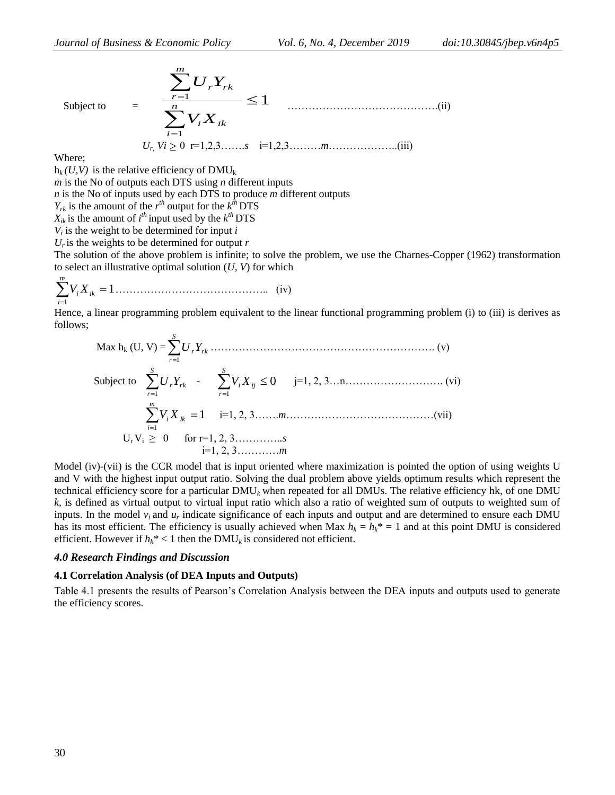Subject to  

$$
\sum_{i=1}^{m} U_{r} Y_{rk}
$$

$$
\sum_{i=1}^{n} V_{i} X_{ik}
$$

$$
U_{r} V_{i} \ge 0 \text{ r=1,2,3...... s i=1,2,3...... m...... (iii)}
$$

Where;

 $h_k$  (*U,V*) is the relative efficiency of DMU<sub>k</sub>

*m* is the No of outputs each DTS using *n* different inputs

*n* is the No of inputs used by each DTS to produce *m* different outputs

 $Y_{rk}$  is the amount of the  $r^{th}$  output for the  $k^{th}$  DTS

 $X_{ik}$  is the amount of *i*<sup>th</sup> input used by the  $k$ <sup>th</sup> DTS

 $V_i$  is the weight to be determined for input  $i$ 

 $U_r$  is the weights to be determined for output  $r$ 

The solution of the above problem is infinite; to solve the problem, we use the Charnes-Copper (1962) transformation to select an illustrative optimal solution (*U, V*) for which

 $\sum V_i X_{ik} = 1$ 1 = *m i V<sup>i</sup> X* …………………………………….. (iv)

Hence, a linear programming problem equivalent to the linear functional programming problem (i) to (iii) is derives as follows; *S*

 Max h<sup>k</sup> (U, V) = *rk r <sup>U</sup>r<sup>Y</sup>* 1 ………………………………………………………. (v) Subject to *rk S r <sup>U</sup>r<sup>Y</sup>* 1 - 0 1 *ij S r V<sup>i</sup> X* j=1, 2, 3…n………………………. (vi) 1 1 *Ik m i V<sup>i</sup> X* i=1, 2, 3…….*m*……………………………………(vii) Ur Vi ≥ 0 for r=1, 2, 3………….*.s* i=1, 2, 3…………*m*

Model (iv)-(vii) is the CCR model that is input oriented where maximization is pointed the option of using weights U and V with the highest input output ratio. Solving the dual problem above yields optimum results which represent the technical efficiency score for a particular DMU*<sup>k</sup>* when repeated for all DMUs. The relative efficiency hk, of one DMU *k*, is defined as virtual output to virtual input ratio which also a ratio of weighted sum of outputs to weighted sum of inputs. In the model  $v_i$  and  $u_r$  indicate significance of each inputs and output and are determined to ensure each DMU has its most efficient. The efficiency is usually achieved when Max  $h_k = h_k^* = 1$  and at this point DMU is considered efficient. However if  $h_k^*$  < 1 then the DMU<sub>k</sub> is considered not efficient.

#### *4.0 Research Findings and Discussion*

#### **4.1 Correlation Analysis (of DEA Inputs and Outputs)**

Table 4.1 presents the results of Pearson's Correlation Analysis between the DEA inputs and outputs used to generate the efficiency scores.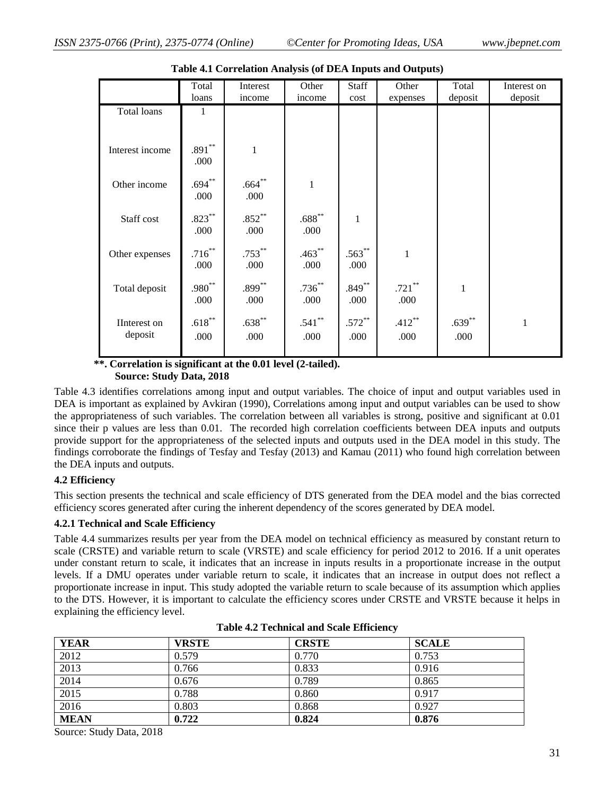|                         | Total<br>loans    | Interest<br>income  | Other<br>income   | Staff<br>cost     | Other<br>expenses | Total<br>deposit  | Interest on<br>deposit |
|-------------------------|-------------------|---------------------|-------------------|-------------------|-------------------|-------------------|------------------------|
| Total loans             | 1                 |                     |                   |                   |                   |                   |                        |
| Interest income         | $.891***$<br>.000 | $\mathbf{1}$        |                   |                   |                   |                   |                        |
| Other income            | $.694***$<br>.000 | $.664**$<br>.000    | $\mathbf{1}$      |                   |                   |                   |                        |
| Staff cost              | $.823***$<br>.000 | $.852***$<br>.000   | $.688**$<br>.000  | $\mathbf{1}$      |                   |                   |                        |
| Other expenses          | $.716***$<br>.000 | $.753***$<br>.000   | $.463***$<br>.000 | $.563***$<br>.000 | $\mathbf{1}$      |                   |                        |
| Total deposit           | $.980**$<br>.000  | $.899***$<br>.000   | $.736***$<br>.000 | $.849***$<br>.000 | $.721***$<br>.000 | 1                 |                        |
| IInterest on<br>deposit | $.618***$<br>.000 | $.638^{**}$<br>.000 | $.541***$<br>.000 | $.572***$<br>.000 | $.412***$<br>.000 | $.639***$<br>.000 | $\mathbf 1$            |

**Table 4.1 Correlation Analysis (of DEA Inputs and Outputs)**

 **\*\*. Correlation is significant at the 0.01 level (2-tailed).**

 **Source: Study Data, 2018**

Table 4.3 identifies correlations among input and output variables. The choice of input and output variables used in DEA is important as explained by Avkiran (1990), Correlations among input and output variables can be used to show the appropriateness of such variables. The correlation between all variables is strong, positive and significant at 0.01 since their p values are less than 0.01. The recorded high correlation coefficients between DEA inputs and outputs provide support for the appropriateness of the selected inputs and outputs used in the DEA model in this study. The findings corroborate the findings of Tesfay and Tesfay (2013) and Kamau (2011) who found high correlation between the DEA inputs and outputs.

### **4.2 Efficiency**

This section presents the technical and scale efficiency of DTS generated from the DEA model and the bias corrected efficiency scores generated after curing the inherent dependency of the scores generated by DEA model.

### **4.2.1 Technical and Scale Efficiency**

Table 4.4 summarizes results per year from the DEA model on technical efficiency as measured by constant return to scale (CRSTE) and variable return to scale (VRSTE) and scale efficiency for period 2012 to 2016. If a unit operates under constant return to scale, it indicates that an increase in inputs results in a proportionate increase in the output levels. If a DMU operates under variable return to scale, it indicates that an increase in output does not reflect a proportionate increase in input. This study adopted the variable return to scale because of its assumption which applies to the DTS. However, it is important to calculate the efficiency scores under CRSTE and VRSTE because it helps in explaining the efficiency level.

| <b>YEAR</b> | VRSTE | <b>CRSTE</b> | <b>SCALE</b> |
|-------------|-------|--------------|--------------|
| 2012        | 0.579 | 0.770        | 0.753        |
| 2013        | 0.766 | 0.833        | 0.916        |
| 2014        | 0.676 | 0.789        | 0.865        |
| 2015        | 0.788 | 0.860        | 0.917        |
| 2016        | 0.803 | 0.868        | 0.927        |
| <b>MEAN</b> | 0.722 | 0.824        | 0.876        |

| <b>Table 4.2 Technical and Scale Efficiency</b> |  |  |
|-------------------------------------------------|--|--|
|-------------------------------------------------|--|--|

Source: Study Data, 2018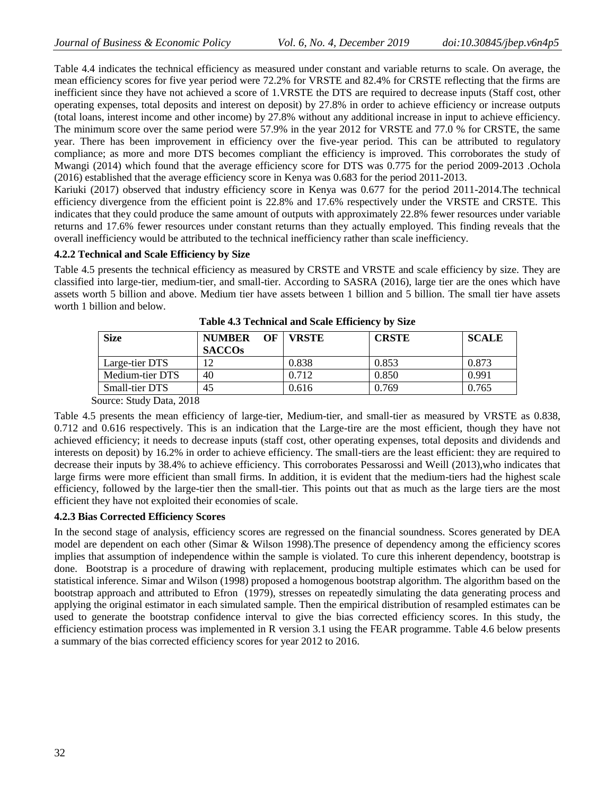Table 4.4 indicates the technical efficiency as measured under constant and variable returns to scale. On average, the mean efficiency scores for five year period were 72.2% for VRSTE and 82.4% for CRSTE reflecting that the firms are inefficient since they have not achieved a score of 1.VRSTE the DTS are required to decrease inputs (Staff cost, other operating expenses, total deposits and interest on deposit) by 27.8% in order to achieve efficiency or increase outputs (total loans, interest income and other income) by 27.8% without any additional increase in input to achieve efficiency. The minimum score over the same period were 57.9% in the year 2012 for VRSTE and 77.0 % for CRSTE, the same year. There has been improvement in efficiency over the five-year period. This can be attributed to regulatory compliance; as more and more DTS becomes compliant the efficiency is improved. This corroborates the study of Mwangi (2014) which found that the average efficiency score for DTS was 0.775 for the period 2009-2013 .Ochola (2016) established that the average efficiency score in Kenya was 0.683 for the period 2011-2013.

Kariuki (2017) observed that industry efficiency score in Kenya was 0.677 for the period 2011-2014.The technical efficiency divergence from the efficient point is 22.8% and 17.6% respectively under the VRSTE and CRSTE. This indicates that they could produce the same amount of outputs with approximately 22.8% fewer resources under variable returns and 17.6% fewer resources under constant returns than they actually employed. This finding reveals that the overall inefficiency would be attributed to the technical inefficiency rather than scale inefficiency.

### **4.2.2 Technical and Scale Efficiency by Size**

Table 4.5 presents the technical efficiency as measured by CRSTE and VRSTE and scale efficiency by size. They are classified into large-tier, medium-tier, and small-tier. According to SASRA (2016), large tier are the ones which have assets worth 5 billion and above. Medium tier have assets between 1 billion and 5 billion. The small tier have assets worth 1 billion and below

| <b>Size</b>     | <b>NUMBER</b><br>$\Omega$<br><b>SACCOS</b> | <b>VRSTE</b> | <b>CRSTE</b> | <b>SCALE</b> |
|-----------------|--------------------------------------------|--------------|--------------|--------------|
| Large-tier DTS  | 12                                         | 0.838        | 0.853        | 0.873        |
| Medium-tier DTS | 40                                         | 0.712        | 0.850        | 0.991        |
| Small-tier DTS  | 45                                         | 0.616        | 0.769        | 0.765        |

**Table 4.3 Technical and Scale Efficiency by Size**

Source: Study Data, 2018

Table 4.5 presents the mean efficiency of large-tier, Medium-tier, and small-tier as measured by VRSTE as 0.838, 0.712 and 0.616 respectively. This is an indication that the Large-tire are the most efficient, though they have not achieved efficiency; it needs to decrease inputs (staff cost, other operating expenses, total deposits and dividends and interests on deposit) by 16.2% in order to achieve efficiency. The small-tiers are the least efficient: they are required to decrease their inputs by 38.4% to achieve efficiency. This corroborates Pessarossi and Weill (2013),who indicates that large firms were more efficient than small firms. In addition, it is evident that the medium-tiers had the highest scale efficiency, followed by the large-tier then the small-tier. This points out that as much as the large tiers are the most efficient they have not exploited their economies of scale.

### **4.2.3 Bias Corrected Efficiency Scores**

In the second stage of analysis, efficiency scores are regressed on the financial soundness. Scores generated by DEA model are dependent on each other (Simar & Wilson 1998).The presence of dependency among the efficiency scores implies that assumption of independence within the sample is violated. To cure this inherent dependency, bootstrap is done. Bootstrap is a procedure of drawing with replacement, producing multiple estimates which can be used for statistical inference. Simar and Wilson (1998) proposed a homogenous bootstrap algorithm. The algorithm based on the bootstrap approach and attributed to Efron (1979), stresses on repeatedly simulating the data generating process and applying the original estimator in each simulated sample. Then the empirical distribution of resampled estimates can be used to generate the bootstrap confidence interval to give the bias corrected efficiency scores. In this study, the efficiency estimation process was implemented in R version 3.1 using the FEAR programme. Table 4.6 below presents a summary of the bias corrected efficiency scores for year 2012 to 2016.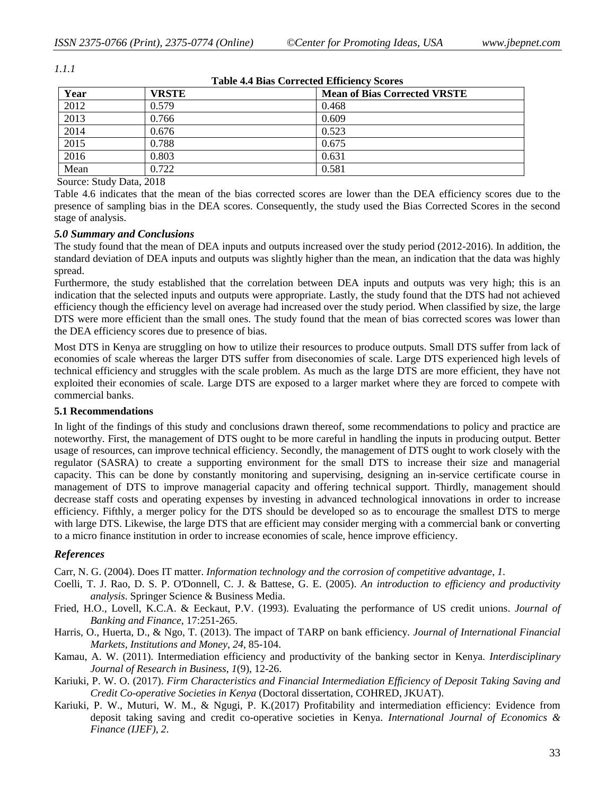| <b>Table 4.4 Bias Corrected Efficiency Scores</b> |              |                                     |  |
|---------------------------------------------------|--------------|-------------------------------------|--|
| Year                                              | <b>VRSTE</b> | <b>Mean of Bias Corrected VRSTE</b> |  |
| 2012                                              | 0.579        | 0.468                               |  |
| 2013                                              | 0.766        | 0.609                               |  |
| 2014                                              | 0.676        | 0.523                               |  |
| 2015                                              | 0.788        | 0.675                               |  |
| 2016                                              | 0.803        | 0.631                               |  |
| Mean                                              | 0.722        | 0.581                               |  |

*1.1.1*

Source: Study Data, 2018

Table 4.6 indicates that the mean of the bias corrected scores are lower than the DEA efficiency scores due to the presence of sampling bias in the DEA scores. Consequently, the study used the Bias Corrected Scores in the second stage of analysis.

### *5.0 Summary and Conclusions*

The study found that the mean of DEA inputs and outputs increased over the study period (2012-2016). In addition, the standard deviation of DEA inputs and outputs was slightly higher than the mean, an indication that the data was highly spread.

Furthermore, the study established that the correlation between DEA inputs and outputs was very high; this is an indication that the selected inputs and outputs were appropriate. Lastly, the study found that the DTS had not achieved efficiency though the efficiency level on average had increased over the study period. When classified by size, the large DTS were more efficient than the small ones. The study found that the mean of bias corrected scores was lower than the DEA efficiency scores due to presence of bias.

Most DTS in Kenya are struggling on how to utilize their resources to produce outputs. Small DTS suffer from lack of economies of scale whereas the larger DTS suffer from diseconomies of scale. Large DTS experienced high levels of technical efficiency and struggles with the scale problem. As much as the large DTS are more efficient, they have not exploited their economies of scale. Large DTS are exposed to a larger market where they are forced to compete with commercial banks.

### **5.1 Recommendations**

In light of the findings of this study and conclusions drawn thereof, some recommendations to policy and practice are noteworthy. First, the management of DTS ought to be more careful in handling the inputs in producing output. Better usage of resources, can improve technical efficiency. Secondly, the management of DTS ought to work closely with the regulator (SASRA) to create a supporting environment for the small DTS to increase their size and managerial capacity. This can be done by constantly monitoring and supervising, designing an in-service certificate course in management of DTS to improve managerial capacity and offering technical support. Thirdly, management should decrease staff costs and operating expenses by investing in advanced technological innovations in order to increase efficiency. Fifthly, a merger policy for the DTS should be developed so as to encourage the smallest DTS to merge with large DTS. Likewise, the large DTS that are efficient may consider merging with a commercial bank or converting to a micro finance institution in order to increase economies of scale, hence improve efficiency.

### *References*

Carr, N. G. (2004). Does IT matter. *Information technology and the corrosion of competitive advantage*, *1*.

- Coelli, T. J. Rao, D. S. P. O'Donnell, C. J. & Battese, G. E. (2005). *An introduction to efficiency and productivity analysis*. Springer Science & Business Media.
- Fried, H.O., Lovell, K.C.A. & Eeckaut, P.V. (1993). Evaluating the performance of US credit unions. *Journal of Banking and Finance*, 17:251-265.
- Harris, O., Huerta, D., & Ngo, T. (2013). The impact of TARP on bank efficiency. *Journal of International Financial Markets, Institutions and Money*, *24*, 85-104.
- Kamau, A. W. (2011). Intermediation efficiency and productivity of the banking sector in Kenya. *Interdisciplinary Journal of Research in Business*, *1*(9), 12-26.
- Kariuki, P. W. O. (2017). *Firm Characteristics and Financial Intermediation Efficiency of Deposit Taking Saving and Credit Co-operative Societies in Kenya* (Doctoral dissertation, COHRED, JKUAT).
- Kariuki, P. W., Muturi, W. M., & Ngugi, P. K.(2017) Profitability and intermediation efficiency: Evidence from deposit taking saving and credit co-operative societies in Kenya. *International Journal of Economics & Finance (IJEF)*, *2*.